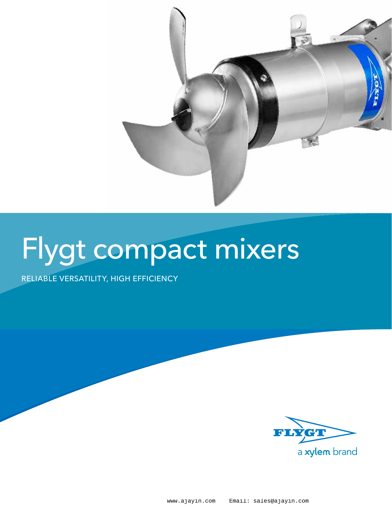

# Flygt compact mixers

reliable versatility, high efficiency

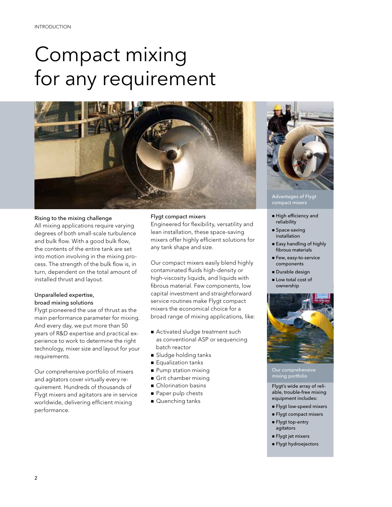## Compact mixing for any requirement



#### Rising to the mixing challenge

All mixing applications require varying degrees of both small-scale turbulence and bulk flow. With a good bulk flow, the contents of the entire tank are set into motion involving in the mixing process. The strength of the bulk flow is, in turn, dependent on the total amount of installed thrust and layout.

#### Unparalleled expertise, broad mixing solutions

Flygt pioneered the use of thrust as the main performance parameter for mixing. And every day, we put more than 50 years of R&D expertise and practical experience to work to determine the right technology, mixer size and layout for your requirements.

Our comprehensive portfolio of mixers and agitators cover virtually every requirement. Hundreds of thousands of Flygt mixers and agitators are in service worldwide, delivering efficient mixing performance.

#### Flygt compact mixers

Engineered for flexibility, versatility and lean installation, these space-saving mixers offer highly efficient solutions for any tank shape and size.

Our compact mixers easily blend highly contaminated fluids high-density or high-viscosity liquids, and liquids with fibrous material. Few components, low capital investment and straightforward service routines make Flygt compact mixers the economical choice for a broad range of mixing applications, like:

- Activated sludge treatment such as conventional ASP or sequencing batch reactor
- **B** Sludge holding tanks
- **Equalization tanks**
- **Pump station mixing**
- Grit chamber mixing
- **n** Chlorination basins
- Paper pulp chests
- Quenching tanks



Advantages of Flygt compact mixers

- n High efficiency and reliability
- $Space-saving$ installation
- **Easy handling of highly** fibrous materials
- Few, easy-to-service components
- **Durable design**
- **n** Low total cost of ownership



#### Our comprehensive mixing portfolio

Flygt's wide array of reliable, trouble-free mixing equipment includes:

- **n** Flygt low-speed mixers
- **Flygt compact mixers**
- **Flygt top-entry** agitators
- n Flygt jet mixers
- n Flygt hydroejectors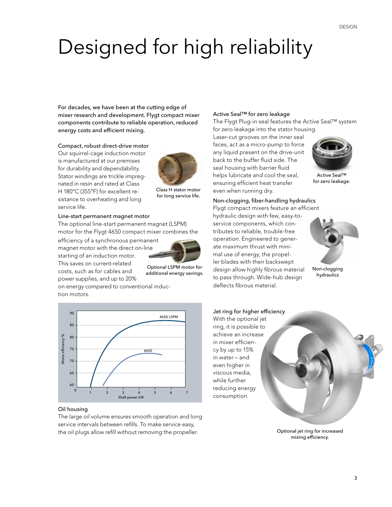## Designed for high reliability

For decades, we have been at the cutting edge of mixer research and development. Flygt compact mixer components contribute to reliable operation, reduced energy costs and efficient mixing.

Compact, robust direct-drive motor

Our squirrel-cage induction motor is manufactured at our premises for durability and dependability. Stator windings are trickle impregnated in resin and rated at Class H 180°C (355°F) for excellent resistance to overheating and long service life.



Class H stator motor for long service life.

#### Line-start permanent magnet motor

The optional line-start permanent magnet (LSPM) motor for the Flygt 4650 compact mixer combines the

efficiency of a synchronous permanent magnet motor with the direct on-line starting of an induction motor. This saves on current-related costs, such as for cables and power supplies, and up to 20%



Optional LSPM motor for additional energy savings.

on energy compared to conventional induction motors.



#### Oil housing

The large oil volume ensures smooth operation and long service intervals between refills. To make service easy, the oil plugs allow refill without removing the propeller.

#### Active Seal™ for zero leakage

The Flygt Plug-in seal features the Active Seal™ system for zero leakage into the stator housing.

Laser-cut grooves on the inner seal faces, act as a micro-pump to force any liquid present on the drive-unit back to the buffer fluid side. The seal housing with barrier fluid helps lubricate and cool the seal, ensuring efficient heat transfer even when running dry.



Active Seal™ for zero leakage.

#### Non-clogging, fiber-handling hydraulics

Flygt compact mixers feature an efficient hydraulic design with few, easy-toservice components, which contributes to reliable, trouble-free operation. Engineered to generate maximum thrust with minimal use of energy, the propeller blades with their backswept design allow highly fibrous material to pass through. Wide-hub design deflects fibrous material.



Non-clogging hydraulics



Optional jet ring for increased mixing efficiency.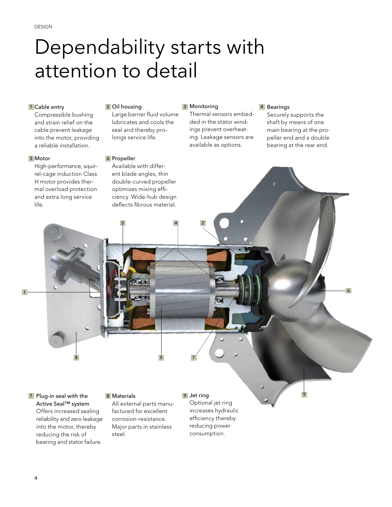### Dependability starts with attention to detail

#### 1 Cable entry

Compressible bushing and strain relief on the cable prevent leakage into the motor, providing a reliable installation.

#### Motor 5

High-performance, squirrel-cage induction Class H motor provides thermal overload protection and extra long service life.

#### <mark>2</mark> Oil housing the second of the second of the second of the second of the second of the second of the second o

Large barrier fluid volume lubricates and cools the seal and thereby prolongs service life.

#### Propeller 6

Available with different blade angles, thin double-curved propeller optimizes mixing efficiency. Wide-hub design deflects fibrous material.

3 4

#### 3 Monitoring

2

Thermal sensors embedded in the stator windings prevent overheating. Leakage sensors are available as options.

#### 4 Bearings

Securely supports the shaft by means of one main bearing at the propeller end and a double bearing at the rear end.

9

7 Plug-in seal with the 18 Materials 19 Plug-Active Seal™ system Offers increased sealing reliability and zero leakage into the motor, thereby reducing the risk of

bearing and stator failure.

#### 8 Materials

8 5

All external parts manufactured for excellent corrosion-resistance. Major parts in stainless steel.

Optional jet ring increases hydraulic efficiency thereby

9 Jet ring

7

 $\sim$  1  $\sim$  1  $\sim$  1  $\sim$  1  $\sim$  1  $\sim$  1  $\sim$  1  $\sim$  1  $\sim$  1  $\sim$  1  $\sim$  1  $\sim$  1  $\sim$  1  $\sim$  1  $\sim$  1  $\sim$  1  $\sim$  1  $\sim$  1  $\sim$  1  $\sim$  1  $\sim$  1  $\sim$  1  $\sim$  1  $\sim$  1  $\sim$  1  $\sim$  1  $\sim$  1  $\sim$  1  $\sim$  1  $\sim$  1  $\sim$  1  $\sim$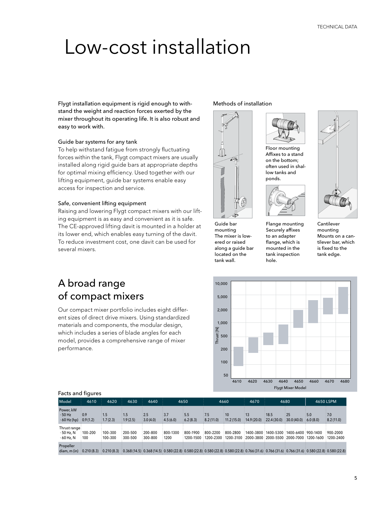### Low-cost installation

Flygt installation equipment is rigid enough to withstand the weight and reaction forces exerted by the mixer throughout its operating life. It is also robust and easy to work with.

#### Guide bar systems for any tank

To help withstand fatigue from strongly fluctuating forces within the tank, Flygt compact mixers are usually installed along rigid guide bars at appropriate depths for optimal mixing efficiency. Used together with our lifting equipment, guide bar systems enable easy access for inspection and service.

#### Safe, convenient lifting equipment

Raising and lowering Flygt compact mixers with our lifting equipment is as easy and convenient as it is safe. The CE-approved lifting davit is mounted in a holder at its lower end, which enables easy turning of the davit. To reduce investment cost, one davit can be used for several mixers.

#### A broad range of compact mixers

Our compact mixer portfolio includes eight different sizes of direct drive mixers. Using standardized materials and components, the modular design, which includes a series of blade angles for each model, provides a comprehensive range of mixer performance.

Methods of installation



mounting The mixer is lowered or raised along a guide bar located on the tank wall.



Floor mounting Affixes to a stand on the bottom; often used in shallow tanks and ponds.



Flange mounting Securely affixes to an adapter flange, which is mounted in the tank inspection hole.



Cantilever mounting Mounts on a cantilever bar, which is fixed to the tank edge.



#### Facts and figures

| Model                                       | 4610                  | 4620                        | 4630                                                                                                                                                                   | 4640                       | 4650                              |                 | 4660              |                                                                                                                                                                    | 4670                     | 4680                               |                                                                                                | 4650 LSPM          |                     |
|---------------------------------------------|-----------------------|-----------------------------|------------------------------------------------------------------------------------------------------------------------------------------------------------------------|----------------------------|-----------------------------------|-----------------|-------------------|--------------------------------------------------------------------------------------------------------------------------------------------------------------------|--------------------------|------------------------------------|------------------------------------------------------------------------------------------------|--------------------|---------------------|
| Power, kW<br>$\cdot$ 50 Hz<br>$60$ Hz (hp)  | .0.9<br>0.9(1.2)      | :1.5<br>: 1.7(2.3)          | : 1.5<br>1.9(2.5)                                                                                                                                                      | 2.5<br>3.0(4.0)            | :3.7<br>4.5(6.0)                  | 5.5<br>6.2(8.3) | :7.5<br>8.2(11.0) | $\cdot$ 10<br>(11.2(15.0))                                                                                                                                         | $\cdot$ 13<br>14.9(20.0) | :18.5<br>$(22.4(30.0)$ 30.0 (40.0) | $-25$                                                                                          | $-5.0$<br>6.0(8.0) | $-7.0$<br>8.2(11.0) |
| Thrust range:<br>$-50$ Hz, N<br>$-60$ Hz, N | $:100 - 200$<br>: 100 | $100 - 300$<br>$:100 - 300$ | $200 - 500$<br>300-500                                                                                                                                                 | $200 - 800$<br>$300 - 800$ | $\frac{1}{2}800 - 1300$<br>: 1200 | 800-1900        | $800 - 2200$      | $800 - 2800$<br>$\pm 1200$ –1500 $\pm 1200$ –2300 $\pm 1200$ –3100 $\pm 2000$ –3800 $\pm 2000$ –5500 $\pm 2000$ –7000 $\pm 1200$ –1600 $\pm 1200$ –2400 $\pm 1200$ |                          |                                    | $\frac{1}{2}$ 1400-3800 $\frac{1}{2}$ 1400-5300 $\frac{1}{2}$ 1400-6400 $\frac{1}{2}$ 900-1400 |                    | $:900 - 2000$       |
| Propeller<br>diam.m(in)                     |                       | $0.210(8.3)$ $0.210(8.3)$   | $(2.8)$ $(0.368(14.5)$ $(0.580(22.8)$ $0.580(22.8)$ $(0.580(22.8)$ $0.580(22.8)$ $(0.580(22.8)$ $0.766(31.6)$ $0.766(31.6)$ $0.766(31.6)$ $(0.580(21.8)$ $0.580(22.8)$ |                            |                                   |                 |                   |                                                                                                                                                                    |                          |                                    |                                                                                                |                    |                     |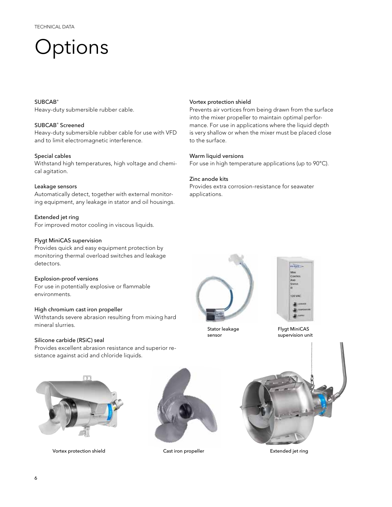### **Options**

#### SUBCAB®

Heavy-duty submersible rubber cable.

#### SUBCAB® Screened

Heavy-duty submersible rubber cable for use with VFD and to limit electromagnetic interference.

#### Special cables

Withstand high temperatures, high voltage and chemical agitation.

#### Leakage sensors

Automatically detect, together with external monitoring equipment, any leakage in stator and oil housings.

Extended jet ring For improved motor cooling in viscous liquids.

#### Flygt MiniCAS supervision

Provides quick and easy equipment protection by monitoring thermal overload switches and leakage detectors.

#### Explosion-proof versions

For use in potentially explosive or flammable environments.

#### High chromium cast iron propeller

Withstands severe abrasion resulting from mixing hard mineral slurries.

#### Silicone carbide (RSiC) seal

Provides excellent abrasion resistance and superior resistance against acid and chloride liquids.



Vortex protection shield

to the surface.

Zinc anode kits

applications.

Warm liquid versions

Prevents air vortices from being drawn from the surface into the mixer propeller to maintain optimal performance. For use in applications where the liquid depth is very shallow or when the mixer must be placed close

For use in high temperature applications (up to 90°C).

Provides extra corrosion-resistance for seawater

Stator leakage sensor



Flygt MiniCAS supervision unit



Vortex protection shield **Cast iron propeller** Cast iron propeller **Extended** jet ring



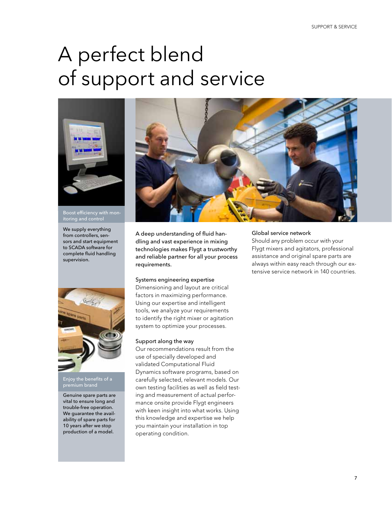## A perfect blend of support and service



Boost efficiency with monitoring and control

We supply everything from controllers, sensors and start equipment to SCADA software for complete fluid handling supervision.



Enjoy the benefits of a premium brand

Genuine spare parts are vital to ensure long and trouble-free operation. We guarantee the availability of spare parts for 10 years after we stop production of a model.



A deep understanding of fluid handling and vast experience in mixing technologies makes Flygt a trustworthy and reliable partner for all your process requirements.

#### Systems engineering expertise

Dimensioning and layout are critical factors in maximizing performance. Using our expertise and intelligent tools, we analyze your requirements to identify the right mixer or agitation system to optimize your processes.

#### Support along the way

Our recommendations result from the use of specially developed and validated Computational Fluid Dynamics software programs, based on carefully selected, relevant models. Our own testing facilities as well as field testing and measurement of actual performance onsite provide Flygt engineers with keen insight into what works. Using this knowledge and expertise we help you maintain your installation in top operating condition.

#### Global service network

Should any problem occur with your Flygt mixers and agitators, professional assistance and original spare parts are always within easy reach through our extensive service network in 140 countries.